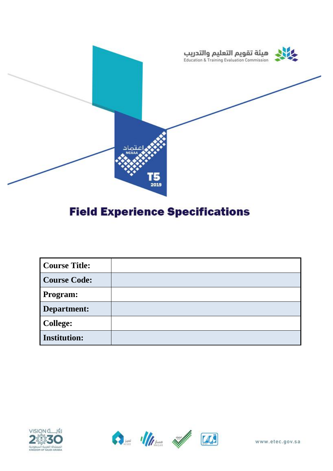

# **Field Experience Specifications**

| <b>Course Title:</b> |  |
|----------------------|--|
| <b>Course Code:</b>  |  |
| <b>Program:</b>      |  |
| Department:          |  |
| <b>College:</b>      |  |
| <b>Institution:</b>  |  |





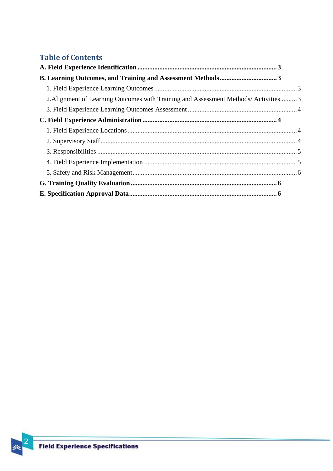# **Table of Contents**

| 2. Alignment of Learning Outcomes with Training and Assessment Methods/Activities 3 |  |
|-------------------------------------------------------------------------------------|--|
|                                                                                     |  |
|                                                                                     |  |
|                                                                                     |  |
|                                                                                     |  |
|                                                                                     |  |
|                                                                                     |  |
|                                                                                     |  |
|                                                                                     |  |
|                                                                                     |  |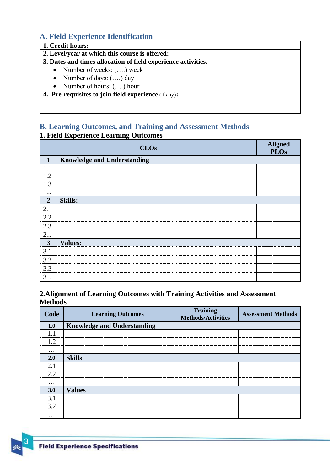# <span id="page-2-0"></span>**A. Field Experience Identification**

#### **1. Credit hours:**

#### **2. Level/year at which this course is offered:**

#### **3. Dates and times allocation of field experience activities.**

- Number of weeks:  $(...)$  week
- Number of days:  $(...)$  day
- Number of hours:  $(...)$  hour

**4. Pre-requisites to join field experience** (if any)**:**

#### <span id="page-2-1"></span>**B. Learning Outcomes, and Training and Assessment Methods 1. Field Experience Learning Outcomes**

<span id="page-2-2"></span>

|                | <b>CLOs</b>                        | <b>Aligned</b><br><b>PLOs</b> |
|----------------|------------------------------------|-------------------------------|
| 1              | <b>Knowledge and Understanding</b> |                               |
| 1.1            |                                    |                               |
| 1.2            |                                    |                               |
| 1.3            |                                    |                               |
| 1              |                                    |                               |
| $\overline{2}$ | <b>Skills:</b>                     |                               |
| 2.1            |                                    |                               |
| 2.2            |                                    |                               |
| 2.3            |                                    |                               |
| 2              |                                    |                               |
| $\mathbf{3}$   | <b>Values:</b>                     |                               |
| 3.1            |                                    |                               |
| 3.2            |                                    |                               |
| 3.3            |                                    |                               |
| 3              |                                    |                               |

#### <span id="page-2-3"></span>**2.Alignment of Learning Outcomes with Training Activities and Assessment Methods**

| Code     | <b>Learning Outcomes</b>           | <b>Training</b><br><b>Methods/Activities</b> | <b>Assessment Methods</b> |
|----------|------------------------------------|----------------------------------------------|---------------------------|
| 1.0      | <b>Knowledge and Understanding</b> |                                              |                           |
|          |                                    |                                              |                           |
| 1.2      |                                    |                                              |                           |
| $\cdots$ |                                    |                                              |                           |
| 2.0      | <b>Skills</b>                      |                                              |                           |
| 2.1      |                                    |                                              |                           |
| 2.2      |                                    |                                              |                           |
| $\cdots$ |                                    |                                              |                           |
| 3.0      | <b>Values</b>                      |                                              |                           |
| 3.1      |                                    |                                              |                           |
| 3.2      |                                    |                                              |                           |
| $\cdots$ |                                    |                                              |                           |



3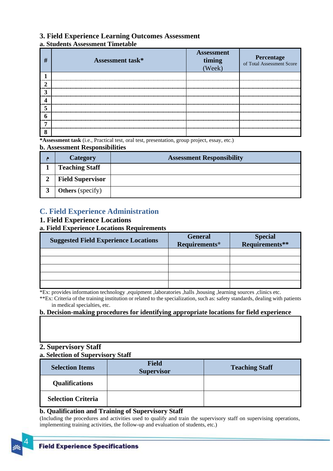#### <span id="page-3-0"></span>**3. Field Experience Learning Outcomes Assessment**

#### **a. Students Assessment Timetable**

| # | <b>Assessment task*</b> | <b>Assessment</b><br>timing<br>(Week) | <b>Percentage</b><br>of Total Assessment Score |
|---|-------------------------|---------------------------------------|------------------------------------------------|
|   |                         |                                       |                                                |
|   |                         | -----------                           |                                                |
|   |                         |                                       |                                                |
|   |                         |                                       |                                                |
|   |                         |                                       |                                                |
|   |                         |                                       |                                                |
|   |                         |                                       |                                                |
| O |                         |                                       |                                                |

**\*Assessment task** (i.e., Practical test, oral test, presentation, group project, essay, etc.)

#### **b. Assessment Responsibilities**

| Category                | <b>Assessment Responsibility</b> |
|-------------------------|----------------------------------|
| <b>Teaching Staff</b>   |                                  |
| <b>Field Supervisor</b> |                                  |
| <b>Others</b> (specify) |                                  |

## <span id="page-3-1"></span>**C. Field Experience Administration**

#### <span id="page-3-2"></span>**1. Field Experience Locations**

#### **a. Field Experience Locations Requirements**

| <b>Suggested Field Experience Locations</b> | <b>General</b><br>Requirements* | Special<br>Requirements** |
|---------------------------------------------|---------------------------------|---------------------------|
|                                             |                                 |                           |
|                                             |                                 |                           |
|                                             |                                 |                           |
|                                             |                                 |                           |
|                                             |                                 |                           |

\*Ex: provides information technology ,equipment ,laboratories ,halls ,housing ,learning sources ,clinics etc.

\*\*Ex: Criteria of the training institution or related to the specialization, such as: safety standards, dealing with patients in medical specialties, etc.

#### **b. Decision-making procedures for identifying appropriate locations for field experience**

#### <span id="page-3-3"></span>**2. Supervisory Staff**

#### **a. Selection of Supervisory Staff**

| <b>Selection Items</b>    | <b>Field</b><br><b>Supervisor</b> | <b>Teaching Staff</b> |
|---------------------------|-----------------------------------|-----------------------|
| <b>Qualifications</b>     |                                   |                       |
| <b>Selection Criteria</b> |                                   |                       |

#### **b. Qualification and Training of Supervisory Staff**

(Including the procedures and activities used to qualify and train the supervisory staff on supervising operations, implementing training activities, the follow-up and evaluation of students, etc.)

4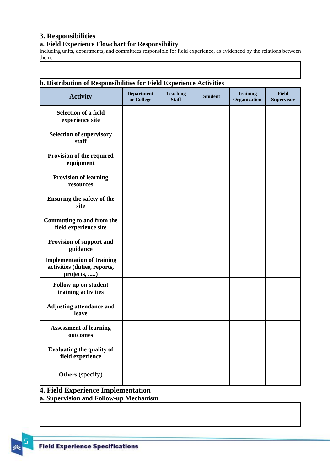#### <span id="page-4-0"></span>**3. Responsibilities**

#### **a. Field Experience Flowchart for Responsibility**

including units, departments, and committees responsible for field experience, as evidenced by the relations between them. ī

| b. Distribution of Responsibilities for Field Experience Activities              |                                 |                                 |                |                                 |                            |
|----------------------------------------------------------------------------------|---------------------------------|---------------------------------|----------------|---------------------------------|----------------------------|
| <b>Activity</b>                                                                  | <b>Department</b><br>or College | <b>Teaching</b><br><b>Staff</b> | <b>Student</b> | <b>Training</b><br>Organization | Field<br><b>Supervisor</b> |
| <b>Selection of a field</b><br>experience site                                   |                                 |                                 |                |                                 |                            |
| <b>Selection of supervisory</b><br>staff                                         |                                 |                                 |                |                                 |                            |
| Provision of the required<br>equipment                                           |                                 |                                 |                |                                 |                            |
| <b>Provision of learning</b><br>resources                                        |                                 |                                 |                |                                 |                            |
| <b>Ensuring the safety of the</b><br>site                                        |                                 |                                 |                |                                 |                            |
| Commuting to and from the<br>field experience site                               |                                 |                                 |                |                                 |                            |
| Provision of support and<br>guidance                                             |                                 |                                 |                |                                 |                            |
| <b>Implementation of training</b><br>activities (duties, reports,<br>projects, ) |                                 |                                 |                |                                 |                            |
| Follow up on student<br>training activities                                      |                                 |                                 |                |                                 |                            |
| <b>Adjusting attendance and</b><br>leave                                         |                                 |                                 |                |                                 |                            |
| <b>Assessment of learning</b><br>outcomes                                        |                                 |                                 |                |                                 |                            |
| <b>Evaluating the quality of</b><br>field experience                             |                                 |                                 |                |                                 |                            |
| <b>Others</b> (specify)                                                          |                                 |                                 |                |                                 |                            |

## <span id="page-4-1"></span>**4. Field Experience Implementation**

**a. Supervision and Follow-up Mechanism**

5